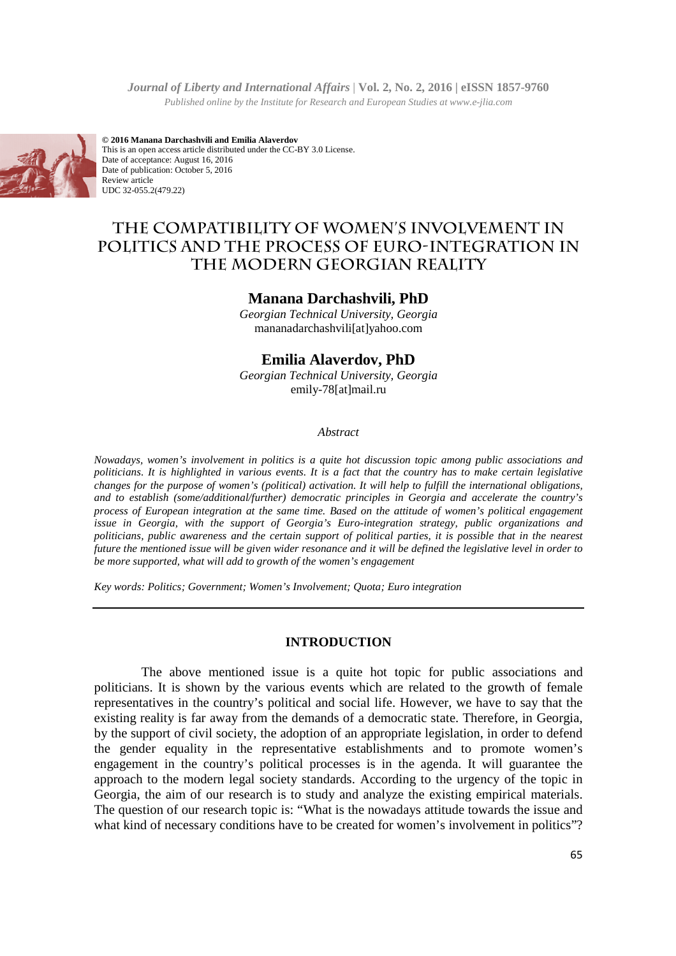

**© 2016 Manana Darchashvili and Emilia Alaverdov** This is an open access article distributed under the CC-BY 3.0 License. Date of acceptance: August 16, 2016 Date of publication: October 5, 2016 Review article UDC 32-055.2(479.22)

# **THE COMPATIBILITY OF WOMEN'S INVOLVEMENT IN**  THE COMPATIBILITY OF WOMEN'S INVOLVEMENT IN<br>POLITICS AND THE PROCESS OF EURO-INTEGRATION IN **THE MODERN GEORGIAN REALITY**

#### **Manana Darchashvili, PhD**

*Georgian Technical University, Georgia*  mananadarchashvili[at]yahoo.com

## **Emilia Alaverdov, PhD**

*Georgian Technical University, Georgia*  emily-78[at]mail.ru

#### *Abstract*

*Nowadays, women's involvement in politics is a quite hot discussion topic among public associations and Nowadays, women's involvement in politics is a quite hot discussion topic among public associations and politicians. It is highlighted in various events. It is a fact that the country has to make certain legislative chang* changes for the purpose of women's (political) activation. It will help to fulfill the international obligations, *and to establish (some/additional/further) democratic principles in Georgia and accelerate the country's* and to establish (some/additional/further) democratic principles in Georgia and accelerate the country's<br>process of European integration at the same time. Based on the attitude of women's political engagement *issue in Georgia, with the support of Georgia's Euro Euro-integration strategy, public organizations and politicians, public awareness and the certain support of political parties, it is possible that in the nearest future the mentioned issue will be given wider resonance and it will be defined the legislative level in order be more supported, what will add to growth of the women's engagement cliticians, public awareness and the certain*<br>*tture the mentioned issue will be given wider 1*<br>e more supported, what will add to growth of i

*Key words: Politics; Government; Women's Involvement; Quota; Euro integration*

#### **INTRODUCTION**

The above mentioned issue is a quite hot topic for public associations and politicians. It is shown by the various events which are related to the growth of female politicians. It is shown by the various events which are related to the growth of female representatives in the country's political and social life. However, we have to say that the existing reality is far away from the demands of a democratic state. Therefore, in Georgia, by the support of civil society, the adoption of an appropriate legislation, in order to defend the gender equality in the representative establishments and to promote women's engagement in the country's political processes is in the agenda. It will guarantee the approach to the modern legal society standards. According to the urgency of the topic in Georgia, the aim of our research is to study and analyze the existing empirical materials. The question of our research topic is: "What is the nowadays attitude towards the issue and what kind of necessary conditions have to be created for women's involvement in politics"? entioned issue is a quite hot topic for public associations and<br>t by the various events which are related to the growth of female<br>ountry's political and social life. However, we have to say that the<br>way from the demands of of a democratic state. Therefore, in Georgia, an appropriate legislation, in order to defend establishments and to promote women's ses is in the agenda. It will guarantee the ls. According to the urgency of the topic in nd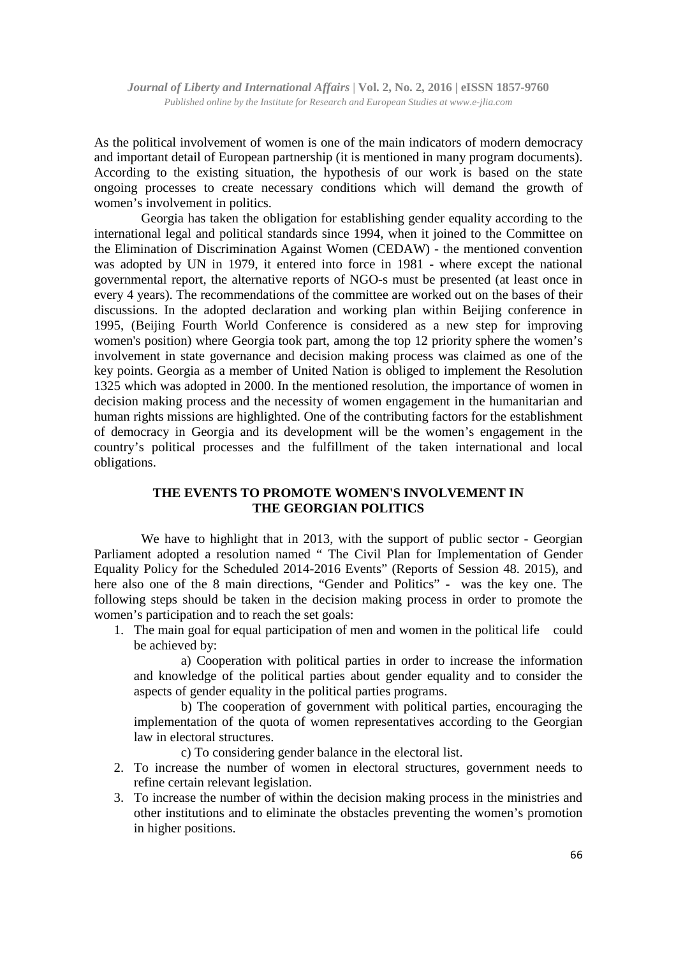As the political involvement of women is one of the main indicators of modern democracy and important detail of European partnership (it is mentioned in many program documents). According to the existing situation, the hypothesis of our work is based on the state ongoing processes to create necessary conditions which will demand the growth of women's involvement in politics.

Georgia has taken the obligation for establishing gender equality according to the international legal and political standards since 1994, when it joined to the Committee on the Elimination of Discrimination Against Women (CEDAW) - the mentioned convention was adopted by UN in 1979, it entered into force in 1981 - where except the national governmental report, the alternative reports of NGO-s must be presented (at least once in every 4 years). The recommendations of the committee are worked out on the bases of their discussions. In the adopted declaration and working plan within Beijing conference in 1995, (Beijing Fourth World Conference is considered as a new step for improving women's position) where Georgia took part, among the top 12 priority sphere the women's involvement in state governance and decision making process was claimed as one of the key points. Georgia as a member of United Nation is obliged to implement the Resolution 1325 which was adopted in 2000. In the mentioned resolution, the importance of women in decision making process and the necessity of women engagement in the humanitarian and human rights missions are highlighted. One of the contributing factors for the establishment of democracy in Georgia and its development will be the women's engagement in the country's political processes and the fulfillment of the taken international and local obligations.

## **THE EVENTS TO PROMOTE WOMEN'S INVOLVEMENT IN THE GEORGIAN POLITICS**

We have to highlight that in 2013, with the support of public sector - Georgian Parliament adopted a resolution named " The Civil Plan for Implementation of Gender Equality Policy for the Scheduled 2014-2016 Events" (Reports of Session 48. 2015), and here also one of the 8 main directions, "Gender and Politics" - was the key one. The following steps should be taken in the decision making process in order to promote the women's participation and to reach the set goals:

1. The main goal for equal participation of men and women in the political life could be achieved by:

a) Cooperation with political parties in order to increase the information and knowledge of the political parties about gender equality and to consider the aspects of gender equality in the political parties programs.

b) The cooperation of government with political parties, encouraging the implementation of the quota of women representatives according to the Georgian law in electoral structures.

- c) To considering gender balance in the electoral list.
- 2. To increase the number of women in electoral structures, government needs to refine certain relevant legislation.
- 3. To increase the number of within the decision making process in the ministries and other institutions and to eliminate the obstacles preventing the women's promotion in higher positions.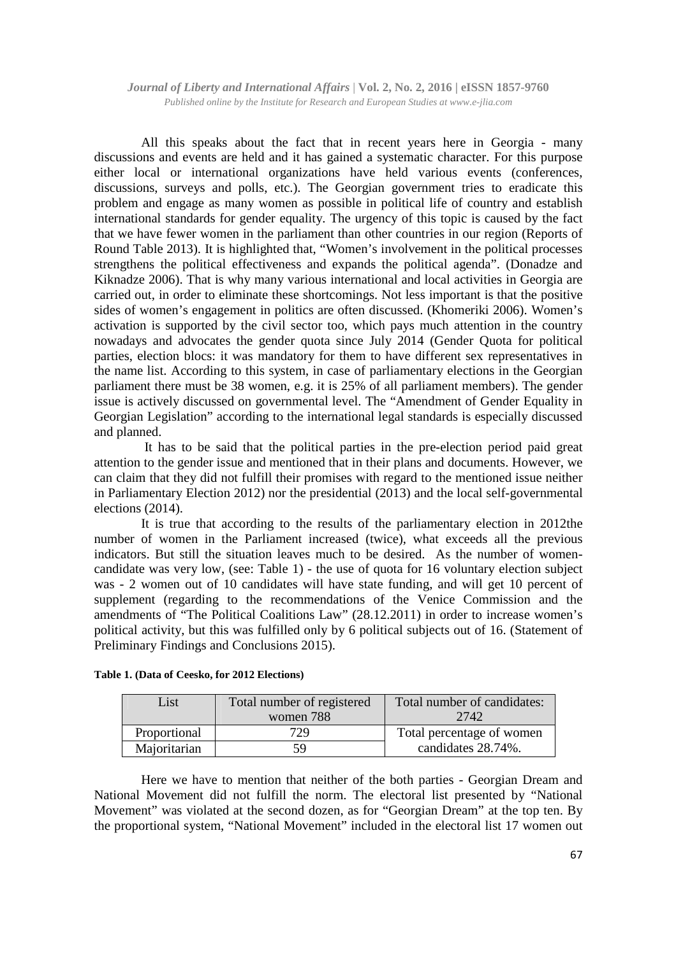All this speaks about the fact that in recent years here in Georgia - many discussions and events are held and it has gained a systematic character. For this purpose either local or international organizations have held various events (conferences, discussions, surveys and polls, etc.). The Georgian government tries to eradicate this problem and engage as many women as possible in political life of country and establish international standards for gender equality. The urgency of this topic is caused by the fact that we have fewer women in the parliament than other countries in our region (Reports of Round Table 2013). It is highlighted that, "Women's involvement in the political processes strengthens the political effectiveness and expands the political agenda". (Donadze and Kiknadze 2006). That is why many various international and local activities in Georgia are carried out, in order to eliminate these shortcomings. Not less important is that the positive sides of women's engagement in politics are often discussed. (Khomeriki 2006). Women's activation is supported by the civil sector too, which pays much attention in the country nowadays and advocates the gender quota since July 2014 (Gender Quota for political parties, election blocs: it was mandatory for them to have different sex representatives in the name list. According to this system, in case of parliamentary elections in the Georgian parliament there must be 38 women, e.g. it is 25% of all parliament members). The gender issue is actively discussed on governmental level. The "Amendment of Gender Equality in Georgian Legislation" according to the international legal standards is especially discussed and planned.

 It has to be said that the political parties in the pre-election period paid great attention to the gender issue and mentioned that in their plans and documents. However, we can claim that they did not fulfill their promises with regard to the mentioned issue neither in Parliamentary Election 2012) nor the presidential (2013) and the local self-governmental elections (2014).

It is true that according to the results of the parliamentary election in 2012the number of women in the Parliament increased (twice), what exceeds all the previous indicators. But still the situation leaves much to be desired. As the number of womencandidate was very low, (see: Table 1) - the use of quota for 16 voluntary election subject was - 2 women out of 10 candidates will have state funding, and will get 10 percent of supplement (regarding to the recommendations of the Venice Commission and the amendments of "The Political Coalitions Law" (28.12.2011) in order to increase women's political activity, but this was fulfilled only by 6 political subjects out of 16. (Statement of Preliminary Findings and Conclusions 2015).

| List         | Total number of registered<br>women 788 | Total number of candidates:<br>2742 |
|--------------|-----------------------------------------|-------------------------------------|
| Proportional | 729.                                    | Total percentage of women           |
| Majoritarian | 59                                      | candidates 28.74%.                  |

**Table 1. (Data of Ceesko, for 2012 Elections)** 

Here we have to mention that neither of the both parties - Georgian Dream and National Movement did not fulfill the norm. The electoral list presented by "National Movement" was violated at the second dozen, as for "Georgian Dream" at the top ten. By the proportional system, "National Movement" included in the electoral list 17 women out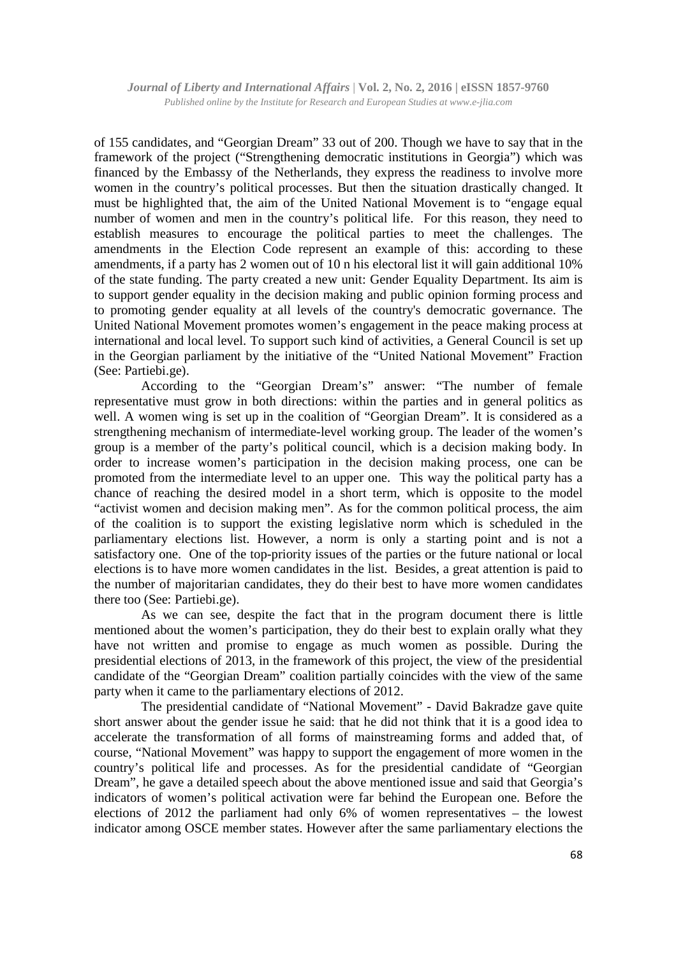of 155 candidates, and "Georgian Dream" 33 out of 200. Though we have to say that in the framework of the project ("Strengthening democratic institutions in Georgia") which was financed by the Embassy of the Netherlands, they express the readiness to involve more women in the country's political processes. But then the situation drastically changed. It must be highlighted that, the aim of the United National Movement is to "engage equal number of women and men in the country's political life. For this reason, they need to establish measures to encourage the political parties to meet the challenges. The amendments in the Election Code represent an example of this: according to these amendments, if a party has 2 women out of 10 n his electoral list it will gain additional 10% of the state funding. The party created a new unit: Gender Equality Department. Its aim is to support gender equality in the decision making and public opinion forming process and to promoting gender equality at all levels of the country's democratic governance. The United National Movement promotes women's engagement in the peace making process at international and local level. To support such kind of activities, a General Council is set up in the Georgian parliament by the initiative of the "United National Movement" Fraction (See: Partiebi.ge).

According to the "Georgian Dream's" answer: "The number of female representative must grow in both directions: within the parties and in general politics as well. A women wing is set up in the coalition of "Georgian Dream". It is considered as a strengthening mechanism of intermediate-level working group. The leader of the women's group is a member of the party's political council, which is a decision making body. In order to increase women's participation in the decision making process, one can be promoted from the intermediate level to an upper one. This way the political party has a chance of reaching the desired model in a short term, which is opposite to the model "activist women and decision making men". As for the common political process, the aim of the coalition is to support the existing legislative norm which is scheduled in the parliamentary elections list. However, a norm is only a starting point and is not a satisfactory one. One of the top-priority issues of the parties or the future national or local elections is to have more women candidates in the list. Besides, a great attention is paid to the number of majoritarian candidates, they do their best to have more women candidates there too (See: Partiebi.ge).

As we can see, despite the fact that in the program document there is little mentioned about the women's participation, they do their best to explain orally what they have not written and promise to engage as much women as possible. During the presidential elections of 2013, in the framework of this project, the view of the presidential candidate of the "Georgian Dream" coalition partially coincides with the view of the same party when it came to the parliamentary elections of 2012.

The presidential candidate of "National Movement" - David Bakradze gave quite short answer about the gender issue he said: that he did not think that it is a good idea to accelerate the transformation of all forms of mainstreaming forms and added that, of course, "National Movement" was happy to support the engagement of more women in the country's political life and processes. As for the presidential candidate of "Georgian Dream", he gave a detailed speech about the above mentioned issue and said that Georgia's indicators of women's political activation were far behind the European one. Before the elections of 2012 the parliament had only 6% of women representatives – the lowest indicator among OSCE member states. However after the same parliamentary elections the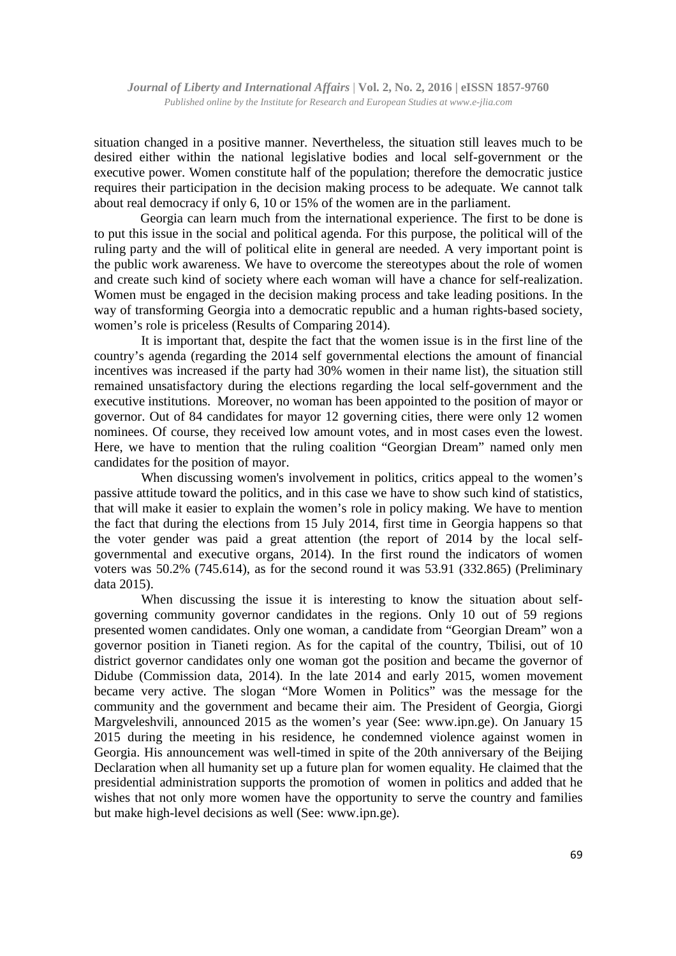situation changed in a positive manner. Nevertheless, the situation still leaves much to be desired either within the national legislative bodies and local self-government or the executive power. Women constitute half of the population; therefore the democratic justice requires their participation in the decision making process to be adequate. We cannot talk about real democracy if only 6, 10 or 15% of the women are in the parliament.

 Georgia can learn much from the international experience. The first to be done is to put this issue in the social and political agenda. For this purpose, the political will of the ruling party and the will of political elite in general are needed. A very important point is the public work awareness. We have to overcome the stereotypes about the role of women and create such kind of society where each woman will have a chance for self-realization. Women must be engaged in the decision making process and take leading positions. In the way of transforming Georgia into a democratic republic and a human rights-based society, women's role is priceless (Results of Comparing 2014).

It is important that, despite the fact that the women issue is in the first line of the country's agenda (regarding the 2014 self governmental elections the amount of financial incentives was increased if the party had 30% women in their name list), the situation still remained unsatisfactory during the elections regarding the local self-government and the executive institutions. Moreover, no woman has been appointed to the position of mayor or governor. Out of 84 candidates for mayor 12 governing cities, there were only 12 women nominees. Of course, they received low amount votes, and in most cases even the lowest. Here, we have to mention that the ruling coalition "Georgian Dream" named only men candidates for the position of mayor.

When discussing women's involvement in politics, critics appeal to the women's passive attitude toward the politics, and in this case we have to show such kind of statistics, that will make it easier to explain the women's role in policy making. We have to mention the fact that during the elections from 15 July 2014, first time in Georgia happens so that the voter gender was paid a great attention (the report of 2014 by the local selfgovernmental and executive organs, 2014). In the first round the indicators of women voters was 50.2% (745.614), as for the second round it was 53.91 (332.865) (Preliminary data 2015).

When discussing the issue it is interesting to know the situation about selfgoverning community governor candidates in the regions. Only 10 out of 59 regions presented women candidates. Only one woman, a candidate from "Georgian Dream" won a governor position in Tianeti region. As for the capital of the country, Tbilisi, out of 10 district governor candidates only one woman got the position and became the governor of Didube (Commission data, 2014). In the late 2014 and early 2015, women movement became very active. The slogan "More Women in Politics" was the message for the community and the government and became their aim. The President of Georgia, Giorgi Margveleshvili, announced 2015 as the women's year (See: www.ipn.ge). On January 15 2015 during the meeting in his residence, he condemned violence against women in Georgia. His announcement was well-timed in spite of the 20th anniversary of the Beijing Declaration when all humanity set up a future plan for women equality. He claimed that the presidential administration supports the promotion of women in politics and added that he wishes that not only more women have the opportunity to serve the country and families but make high-level decisions as well (See: www.ipn.ge).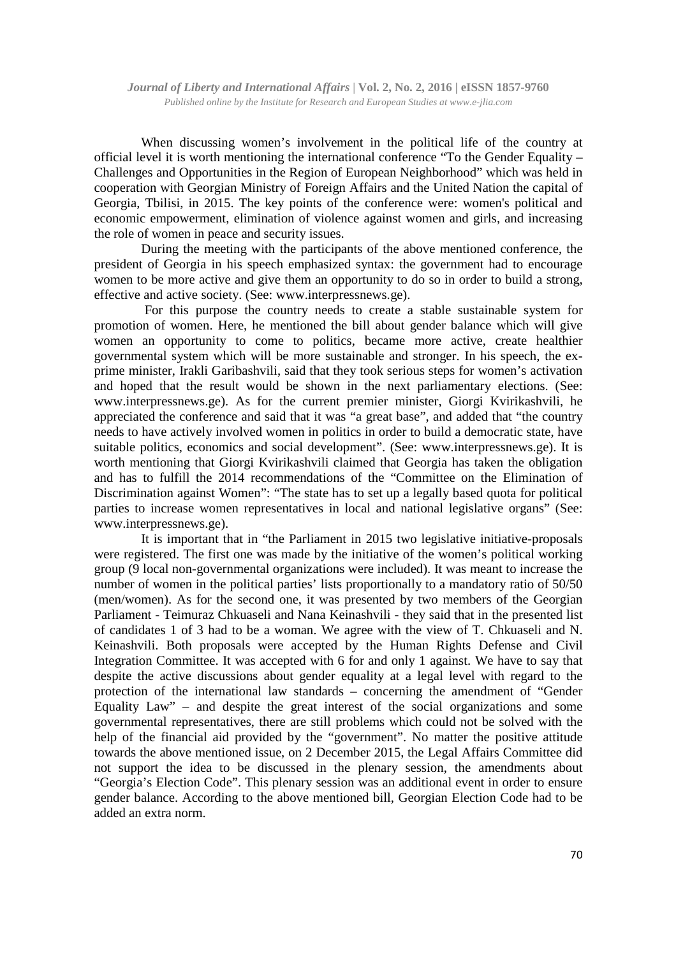When discussing women's involvement in the political life of the country at official level it is worth mentioning the international conference "To the Gender Equality – Challenges and Opportunities in the Region of European Neighborhood" which was held in cooperation with Georgian Ministry of Foreign Affairs and the United Nation the capital of Georgia, Tbilisi, in 2015. The key points of the conference were: women's political and economic empowerment, elimination of violence against women and girls, and increasing the role of women in peace and security issues.

During the meeting with the participants of the above mentioned conference, the president of Georgia in his speech emphasized syntax: the government had to encourage women to be more active and give them an opportunity to do so in order to build a strong, effective and active society. (See: www.interpressnews.ge).

 For this purpose the country needs to create a stable sustainable system for promotion of women. Here, he mentioned the bill about gender balance which will give women an opportunity to come to politics, became more active, create healthier governmental system which will be more sustainable and stronger. In his speech, the exprime minister, Irakli Garibashvili, said that they took serious steps for women's activation and hoped that the result would be shown in the next parliamentary elections. (See: www.interpressnews.ge). As for the current premier minister, Giorgi Kvirikashvili, he appreciated the conference and said that it was "a great base", and added that "the country needs to have actively involved women in politics in order to build a democratic state, have suitable politics, economics and social development". (See: www.interpressnews.ge). It is worth mentioning that Giorgi Kvirikashvili claimed that Georgia has taken the obligation and has to fulfill the 2014 recommendations of the "Committee on the Elimination of Discrimination against Women": "The state has to set up a legally based quota for political parties to increase women representatives in local and national legislative organs" (See: www.interpressnews.ge).

It is important that in "the Parliament in 2015 two legislative initiative-proposals were registered. The first one was made by the initiative of the women's political working group (9 local non-governmental organizations were included). It was meant to increase the number of women in the political parties' lists proportionally to a mandatory ratio of 50/50 (men/women). As for the second one, it was presented by two members of the Georgian Parliament - Teimuraz Chkuaseli and Nana Keinashvili - they said that in the presented list of candidates 1 of 3 had to be a woman. We agree with the view of T. Chkuaseli and N. Keinashvili. Both proposals were accepted by the Human Rights Defense and Civil Integration Committee. It was accepted with 6 for and only 1 against. We have to say that despite the active discussions about gender equality at a legal level with regard to the protection of the international law standards – concerning the amendment of "Gender Equality Law" – and despite the great interest of the social organizations and some governmental representatives, there are still problems which could not be solved with the help of the financial aid provided by the "government". No matter the positive attitude towards the above mentioned issue, on 2 December 2015, the Legal Affairs Committee did not support the idea to be discussed in the plenary session, the amendments about "Georgia's Election Code". This plenary session was an additional event in order to ensure gender balance. According to the above mentioned bill, Georgian Election Code had to be added an extra norm.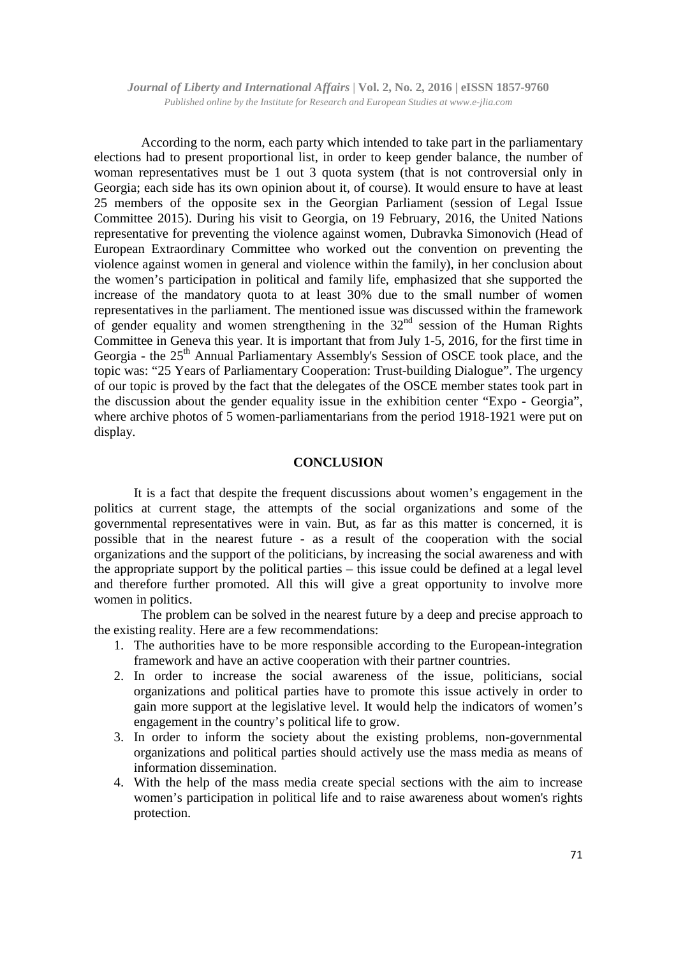According to the norm, each party which intended to take part in the parliamentary elections had to present proportional list, in order to keep gender balance, the number of woman representatives must be 1 out 3 quota system (that is not controversial only in Georgia; each side has its own opinion about it, of course). It would ensure to have at least 25 members of the opposite sex in the Georgian Parliament (session of Legal Issue Committee 2015). During his visit to Georgia, on 19 February, 2016, the United Nations representative for preventing the violence against women, Dubravka Simonovich (Head of European Extraordinary Committee who worked out the convention on preventing the violence against women in general and violence within the family), in her conclusion about the women's participation in political and family life, emphasized that she supported the increase of the mandatory quota to at least 30% due to the small number of women representatives in the parliament. The mentioned issue was discussed within the framework of gender equality and women strengthening in the  $32<sup>nd</sup>$  session of the Human Rights Committee in Geneva this year. It is important that from July 1-5, 2016, for the first time in Georgia - the 25<sup>th</sup> Annual Parliamentary Assembly's Session of OSCE took place, and the topic was: "25 Years of Parliamentary Cooperation: Trust-building Dialogue". The urgency of our topic is proved by the fact that the delegates of the OSCE member states took part in the discussion about the gender equality issue in the exhibition center "Expo - Georgia", where archive photos of 5 women-parliamentarians from the period 1918-1921 were put on display.

#### **CONCLUSION**

 It is a fact that despite the frequent discussions about women's engagement in the politics at current stage, the attempts of the social organizations and some of the governmental representatives were in vain. But, as far as this matter is concerned, it is possible that in the nearest future - as a result of the cooperation with the social organizations and the support of the politicians, by increasing the social awareness and with the appropriate support by the political parties – this issue could be defined at a legal level and therefore further promoted. All this will give a great opportunity to involve more women in politics.

The problem can be solved in the nearest future by a deep and precise approach to the existing reality. Here are a few recommendations:

- 1. The authorities have to be more responsible according to the European-integration framework and have an active cooperation with their partner countries.
- 2. In order to increase the social awareness of the issue, politicians, social organizations and political parties have to promote this issue actively in order to gain more support at the legislative level. It would help the indicators of women's engagement in the country's political life to grow.
- 3. In order to inform the society about the existing problems, non-governmental organizations and political parties should actively use the mass media as means of information dissemination.
- 4. With the help of the mass media create special sections with the aim to increase women's participation in political life and to raise awareness about women's rights protection.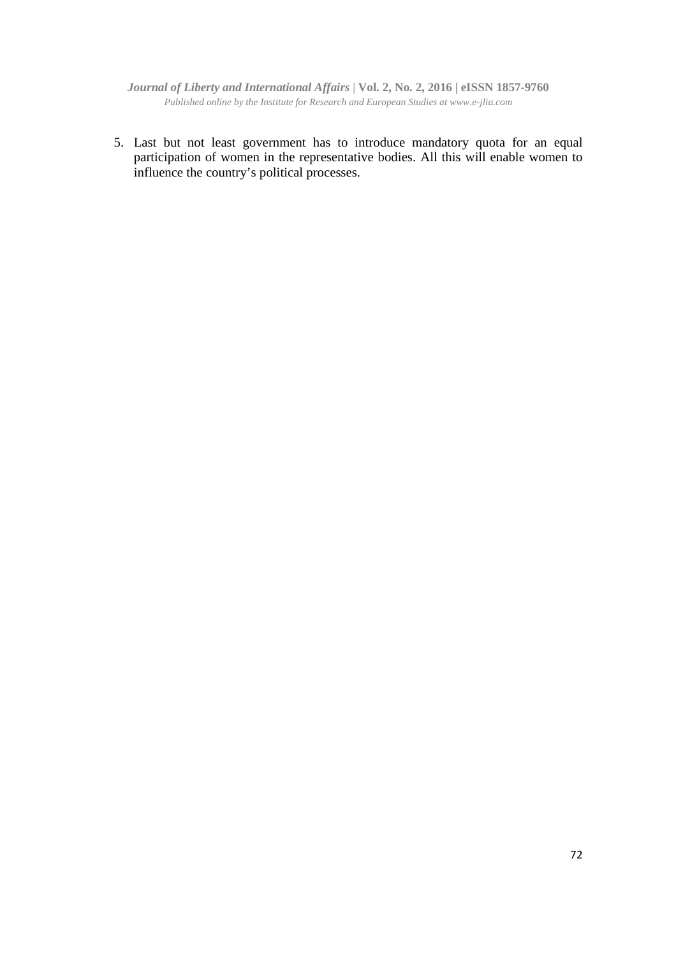5. Last but not least government has to introduce mandatory quota for an equal participation of women in the representative bodies. All this will enable women to influence the country's political processes.